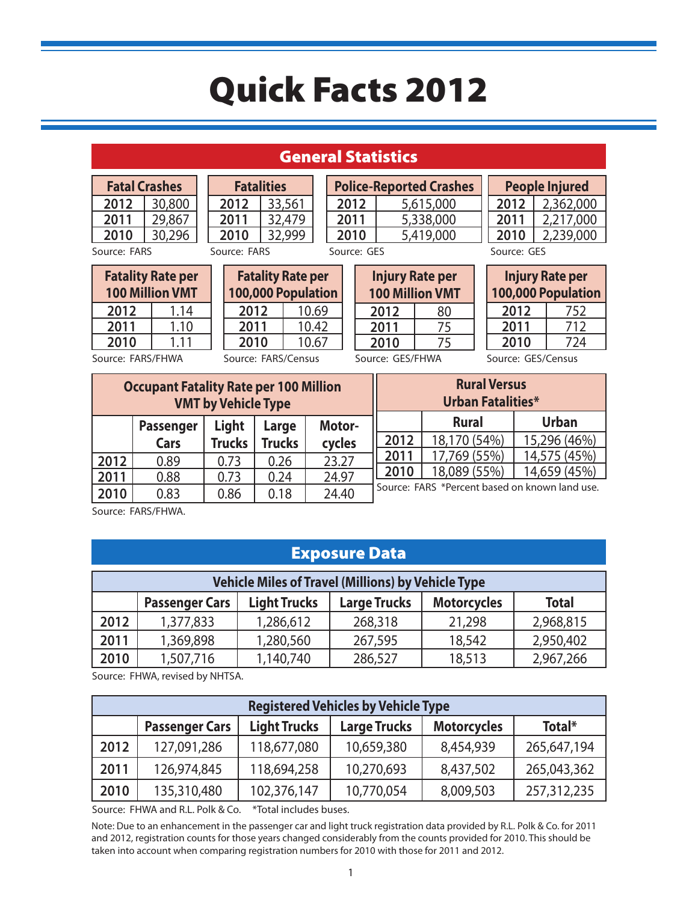#### General Statistics

| <b>Fatal Crashes</b> |        | <b>Fatalit</b> |  |
|----------------------|--------|----------------|--|
| 2012                 | 30,800 | 2012           |  |
| 2011                 | 29,867 | 2011           |  |
| 2010                 | 30,296 | 2010           |  |
| Source: FARS         |        | Source: FARS   |  |

**Fatalities 2012** 33,561 **2011** 32,479 **2010** 32,999

**2010** 5,419,000 Source: GES

| ï | <b>100 Million VMT</b> | <b>Injury Rate per</b> |
|---|------------------------|------------------------|
|   | 2012                   | 80                     |
|   | ገበ11                   |                        |

|      | People Injured |
|------|----------------|
| 2012 | 2,362,000      |
| 2011 | 2,217,000      |
| 2010 | 2,239,000      |

Source: FARS

|      | <b>Fatality Rate per</b><br><b>100 Million VMT</b> |
|------|----------------------------------------------------|
| 2012 | 1.14                                               |
| 2011 | 1.10                                               |
| 2010 | 1 1 1                                              |

|            | <b>Fatality Rate per</b> |
|------------|--------------------------|
|            | 100,000 Population       |
| 2012       | 10.69                    |
| 2011       | 10.42                    |
| 2010       | 10.67                    |
| . <i>.</i> |                          |

**2012** 80 **2011** 75 **2010** 75

**Police-Reported Crashes 2012** 5,615,000 **2011** 5,338,000

> **100,000 Population 2012** 752 **2011** 712 **2010** 724

**Injury Rate per** 

Source: GES

Source: FARS/FHWA

Source: FARS/Census

Source: GES/FHWA

Source: GES/Census

| <b>Occupant Fatality Rate per 100 Million</b><br><b>VMT by Vehicle Type</b> |                  |               |               | <b>Rural Versus</b><br><b>Urban Fatalities*</b> |      |                                                |              |
|-----------------------------------------------------------------------------|------------------|---------------|---------------|-------------------------------------------------|------|------------------------------------------------|--------------|
|                                                                             | <b>Passenger</b> | Light         | Large         | Motor-                                          |      | <b>Rural</b>                                   | <b>Urban</b> |
|                                                                             | Cars             | <b>Trucks</b> | <b>Trucks</b> | cycles                                          | 2012 | 18,170 (54%)                                   | 15,296 (46%) |
| 2012                                                                        | 0.89             | 0.73          | 0.26          | 23.27                                           | 2011 | 17,769 (55%)                                   | 14,575 (45%) |
| 2011                                                                        | 0.88             | 0.73          | 0.24          | 24.97                                           | 2010 | 18,089 (55%)                                   | 14,659 (45%) |
| 2010                                                                        | 0.83             | 0.86          | 0.18          | 24.40                                           |      | Source: FARS *Percent based on known land use. |              |

Source: FARS/FHWA.

#### Exposure Data

|      | <b>Vehicle Miles of Travel (Millions) by Vehicle Type</b> |                     |                     |                    |              |
|------|-----------------------------------------------------------|---------------------|---------------------|--------------------|--------------|
|      | <b>Passenger Cars</b>                                     | <b>Light Trucks</b> | <b>Large Trucks</b> | <b>Motorcycles</b> | <b>Total</b> |
| 2012 | 1,377,833                                                 | 1,286,612           | 268,318             | 21,298             | 2,968,815    |
| 2011 | 1,369,898                                                 | 1,280,560           | 267,595             | 18,542             | 2,950,402    |
| 2010 | 1,507,716                                                 | 1,140,740           | 286,527             | 18,513             | 2,967,266    |

Source: FHWA, revised by NHTSA.

|      |                       |                     | <b>Registered Vehicles by Vehicle Type</b> |                    |             |
|------|-----------------------|---------------------|--------------------------------------------|--------------------|-------------|
|      | <b>Passenger Cars</b> | <b>Light Trucks</b> | <b>Large Trucks</b>                        | <b>Motorcycles</b> | Total*      |
| 2012 | 127,091,286           | 118,677,080         | 10,659,380                                 | 8,454,939          | 265,647,194 |
| 2011 | 126,974,845           | 118,694,258         | 10,270,693                                 | 8,437,502          | 265,043,362 |
| 2010 | 135,310,480           | 102,376,147         | 10,770,054                                 | 8,009,503          | 257,312,235 |

Source: FHWA and R.L. Polk & Co. \*Total includes buses.

Note: Due to an enhancement in the passenger car and light truck registration data provided by R.L. Polk & Co. for 2011 and 2012, registration counts for those years changed considerably from the counts provided for 2010. This should be taken into account when comparing registration numbers for 2010 with those for 2011 and 2012.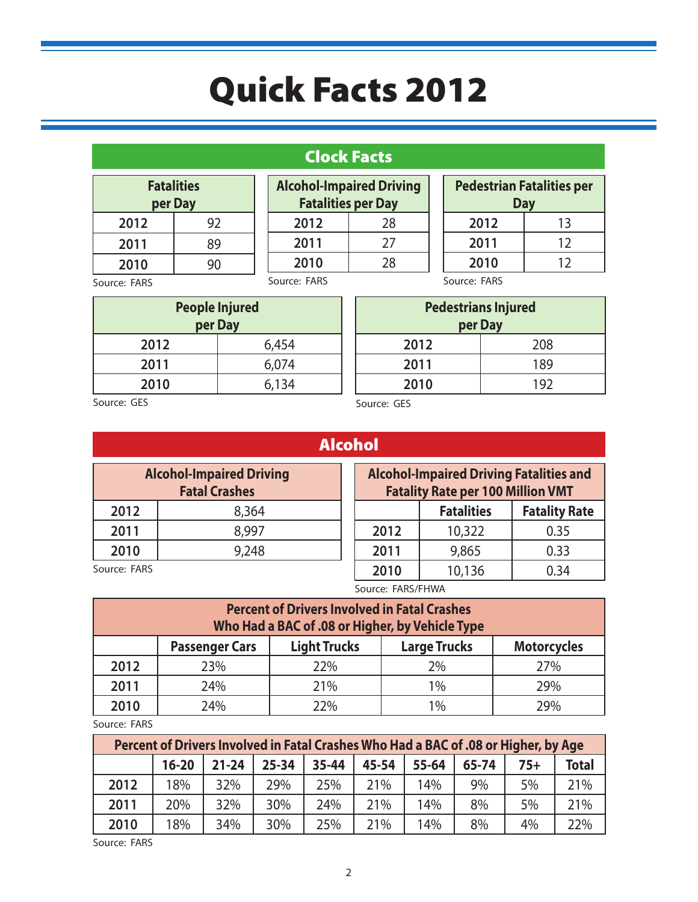### Clock Facts

**Alcohol-Impaired Driving Fatalities per Day** 2012 28 **2011** 27

|          | <b>Fatalities</b><br>per Day |
|----------|------------------------------|
| 2012     | 92                           |
| 2011     | 89                           |
| 2010     | 90                           |
| <b>-</b> |                              |

**2010** 28 Source: FARS

**Pedestrian Fatalities per Day 2012** 13 **2011** 12 **2010** 12

Source: FARS

| per Day | <b>People Injured</b> |
|---------|-----------------------|
| 2012    | 6,454                 |
| 2011    | 6,074                 |
| 2010    | 6,134                 |

Source: FARS

| per Day | <b>Pedestrians Injured</b> |
|---------|----------------------------|
| 2012    | 208                        |
| 2011    | 189                        |
| 2010    | 192                        |

Source: GES

|                                                                                                                                                                                                                                                                                                                                                    | <b>Service Service Service Service Service</b> |  |  |  |
|----------------------------------------------------------------------------------------------------------------------------------------------------------------------------------------------------------------------------------------------------------------------------------------------------------------------------------------------------|------------------------------------------------|--|--|--|
| and the state of the state of the state of the state of the state of the state of the state of the state of th<br>and the state of the state of the state of the state of the state of the state of the state of the state of th<br>and the state of the state of the state of the state of the state of the state of the state of the state of th |                                                |  |  |  |

| <b>Alcohol-Impaired Driving</b><br><b>Fatal Crashes</b> |       |  |  |  |
|---------------------------------------------------------|-------|--|--|--|
| 2012                                                    | 8,364 |  |  |  |
| 2011                                                    | 8,997 |  |  |  |
| 2010                                                    | 9,248 |  |  |  |
|                                                         |       |  |  |  |

| AV. | ı. |  |
|-----|----|--|
|     |    |  |

Source: GES

| <b>Alcohol-Impaired Driving Fatalities and</b><br><b>Fatality Rate per 100 Million VMT</b> |        |      |  |  |  |
|--------------------------------------------------------------------------------------------|--------|------|--|--|--|
| <b>Fatalities</b><br><b>Fatality Rate</b>                                                  |        |      |  |  |  |
| 2012                                                                                       | 10,322 | 0.35 |  |  |  |
| 2011                                                                                       | 9,865  | 0.33 |  |  |  |
| 2010                                                                                       | 10,136 | 0.34 |  |  |  |

Source: FARS

Source: FARS/FHWA

| <b>Percent of Drivers Involved in Fatal Crashes</b><br>Who Had a BAC of .08 or Higher, by Vehicle Type |                                                                                           |     |    |     |  |  |  |
|--------------------------------------------------------------------------------------------------------|-------------------------------------------------------------------------------------------|-----|----|-----|--|--|--|
|                                                                                                        | <b>Light Trucks</b><br><b>Large Trucks</b><br><b>Motorcycles</b><br><b>Passenger Cars</b> |     |    |     |  |  |  |
| 2012                                                                                                   | 23%                                                                                       | 22% | 2% | 27% |  |  |  |
| 2011                                                                                                   | 24%                                                                                       | 21% | 1% | 29% |  |  |  |
| 2010                                                                                                   | 24%                                                                                       | 22% | 1% | 79% |  |  |  |

Source: FARS

| Percent of Drivers Involved in Fatal Crashes Who Had a BAC of .08 or Higher, by Age |           |           |           |       |       |       |       |       |              |
|-------------------------------------------------------------------------------------|-----------|-----------|-----------|-------|-------|-------|-------|-------|--------------|
|                                                                                     | $16 - 20$ | $21 - 24$ | $25 - 34$ | 35-44 | 45-54 | 55-64 | 65-74 | $75+$ | <b>Total</b> |
| 2012                                                                                | 18%       | 32%       | 29%       | 25%   | 21%   | 14%   | 9%    | 5%    | 21%          |
| 2011                                                                                | 20%       | 32%       | 30%       | 24%   | 21%   | 14%   | 8%    | 5%    | 21%          |
| 2010                                                                                | 18%       | 34%       | 30%       | 25%   | 21%   | 14%   | 8%    | 4%    | 22%          |

Source: FARS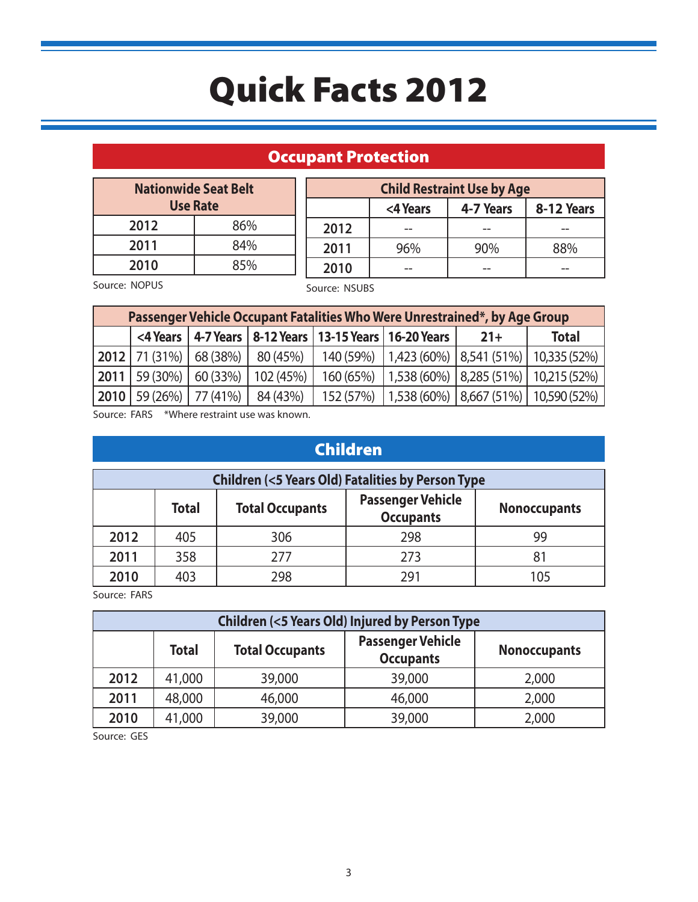### Occupant Protection

| <b>Nationwide Seat Belt</b><br><b>Use Rate</b> |     |  |  |  |
|------------------------------------------------|-----|--|--|--|
| 2012                                           | 86% |  |  |  |
| 2011                                           | 84% |  |  |  |
| 2010                                           | 85% |  |  |  |

**Child Restraint Use by Age <4 Years 4-7 Years 8-12 Years 2012** -- -- -- **2011** 96% 90% 88% **2010** --  $\begin{vmatrix} - & - & \end{vmatrix}$  --

Source: NOPUS

Source: NSUBS

|      | Passenger Vehicle Occupant Fatalities Who Were Unrestrained*, by Age Group |                     |                    |           |                                                               |       |                                                           |
|------|----------------------------------------------------------------------------|---------------------|--------------------|-----------|---------------------------------------------------------------|-------|-----------------------------------------------------------|
|      |                                                                            |                     |                    |           | <4 Years   4-7 Years   8-12 Years   13-15 Years   16-20 Years | $21+$ | <b>Total</b>                                              |
|      | $12012$ 71 (31%)                                                           |                     | $68(38%)$ 80 (45%) |           |                                                               |       | 140 (59%) 1,423 (60%) 8,541 (51%) 10,335 (52%)            |
|      | $ 2011 59(30\%) $                                                          | 60 (33%)            | '102(45%)          | 160 (65%) |                                                               |       | $\mid$ 1,538 (60%) $\mid$ 8,285 (51%) $\mid$ 10,215 (52%) |
| 2010 |                                                                            | 59 (26%)   77 (41%) | 84 (43%)           | 152 (57%) |                                                               |       | $\mid$ 1,538 (60%)   8,667 (51%)   10,590 (52%)           |

Source: FARS \*Where restraint use was known.

# Children

| <b>Children (&lt;5 Years Old) Fatalities by Person Type</b> |              |                        |                                              |                     |  |
|-------------------------------------------------------------|--------------|------------------------|----------------------------------------------|---------------------|--|
|                                                             | <b>Total</b> | <b>Total Occupants</b> | <b>Passenger Vehicle</b><br><b>Occupants</b> | <b>Nonoccupants</b> |  |
| 2012                                                        | 405          | 306                    | 298                                          | 99                  |  |
| 2011                                                        | 358          | 277                    | 273                                          |                     |  |
| 2010                                                        | 403          | 298                    | 291                                          | 105                 |  |

Source: FARS

| <b>Children (&lt;5 Years Old) Injured by Person Type</b> |              |                        |                                              |                     |  |  |
|----------------------------------------------------------|--------------|------------------------|----------------------------------------------|---------------------|--|--|
|                                                          | <b>Total</b> | <b>Total Occupants</b> | <b>Passenger Vehicle</b><br><b>Occupants</b> | <b>Nonoccupants</b> |  |  |
| 2012                                                     | 41,000       | 39,000                 | 39,000                                       | 2,000               |  |  |
| 2011                                                     | 48,000       | 46,000                 | 46,000                                       | 2,000               |  |  |
| 2010                                                     | 41,000       | 39,000                 | 39,000                                       | 2,000               |  |  |

Source: GES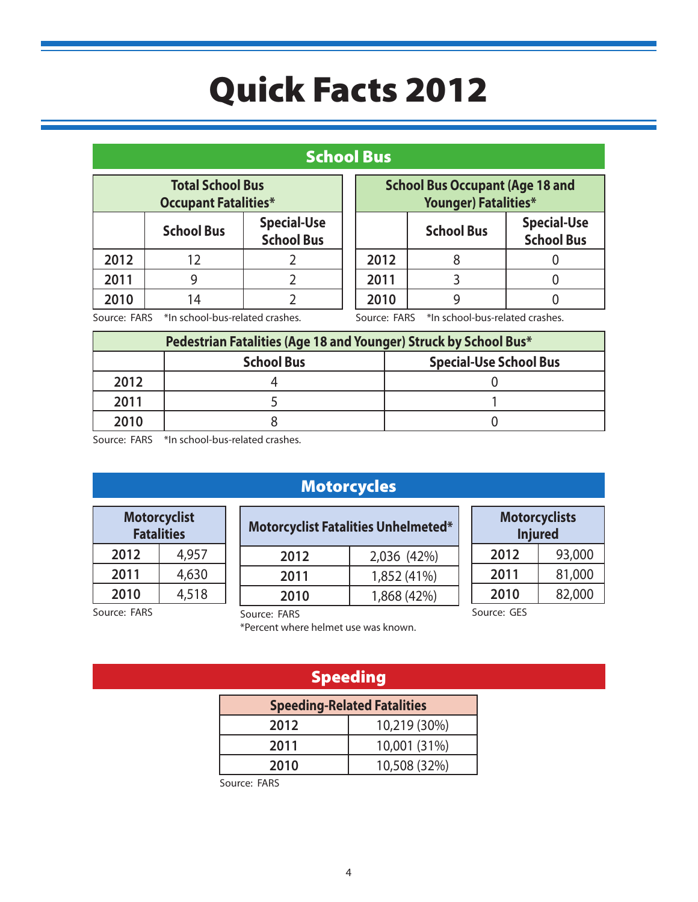#### School Bus

| <b>Total School Bus</b><br><b>Occupant Fatalities*</b>       |    |           |  |  |
|--------------------------------------------------------------|----|-----------|--|--|
| <b>Special-Use</b><br><b>School Bus</b><br><b>School Bus</b> |    |           |  |  |
| 2012                                                         | 12 | $\lambda$ |  |  |
| 2011                                                         | g  |           |  |  |
| 2010                                                         | 14 |           |  |  |

| <b>School Bus Occupant (Age 18 and</b><br><b>Younger) Fatalities*</b> |  |  |  |
|-----------------------------------------------------------------------|--|--|--|
| <b>Special-Use</b><br><b>School Bus</b><br><b>School Bus</b>          |  |  |  |
| 2012                                                                  |  |  |  |
| 2011                                                                  |  |  |  |
| 2010                                                                  |  |  |  |

Source: FARS \*In school-bus-related crashes.

Source: FARS \*In school-bus-related crashes.

| Pedestrian Fatalities (Age 18 and Younger) Struck by School Bus* |                                                    |  |  |  |
|------------------------------------------------------------------|----------------------------------------------------|--|--|--|
|                                                                  | <b>Special-Use School Bus</b><br><b>School Bus</b> |  |  |  |
| 2012                                                             |                                                    |  |  |  |
| 2011                                                             |                                                    |  |  |  |
| 2010                                                             |                                                    |  |  |  |

Source: FARS \*In school-bus-related crashes.

#### Motorcycles

| Motorcyclist<br><b>Fatalities</b> |       |  |  |
|-----------------------------------|-------|--|--|
| 4,957<br>2012                     |       |  |  |
| 2011<br>4,630                     |       |  |  |
| 2010                              | 4,518 |  |  |

| <b>Motorcyclist Fatalities Unhelmeted*</b> |             |  |  |
|--------------------------------------------|-------------|--|--|
| 2012                                       | 2,036 (42%) |  |  |
| 2011                                       | 1,852 (41%) |  |  |
| 2010                                       | 1,868 (42%) |  |  |

| <b>Motorcyclists</b><br><b>Injured</b> |        |  |  |
|----------------------------------------|--------|--|--|
| 2012                                   | 93,000 |  |  |
| 2011<br>81,000                         |        |  |  |
| 2010<br>82,000                         |        |  |  |
| Source: GES                            |        |  |  |

Source: FARS

Source: FARS

\*Percent where helmet use was known.

### Speeding

| <b>Speeding-Related Fatalities</b> |              |  |
|------------------------------------|--------------|--|
| 2012                               | 10,219 (30%) |  |
| 10,001 (31%)<br>2011               |              |  |
| 10,508 (32%)<br>2010               |              |  |

Source: FARS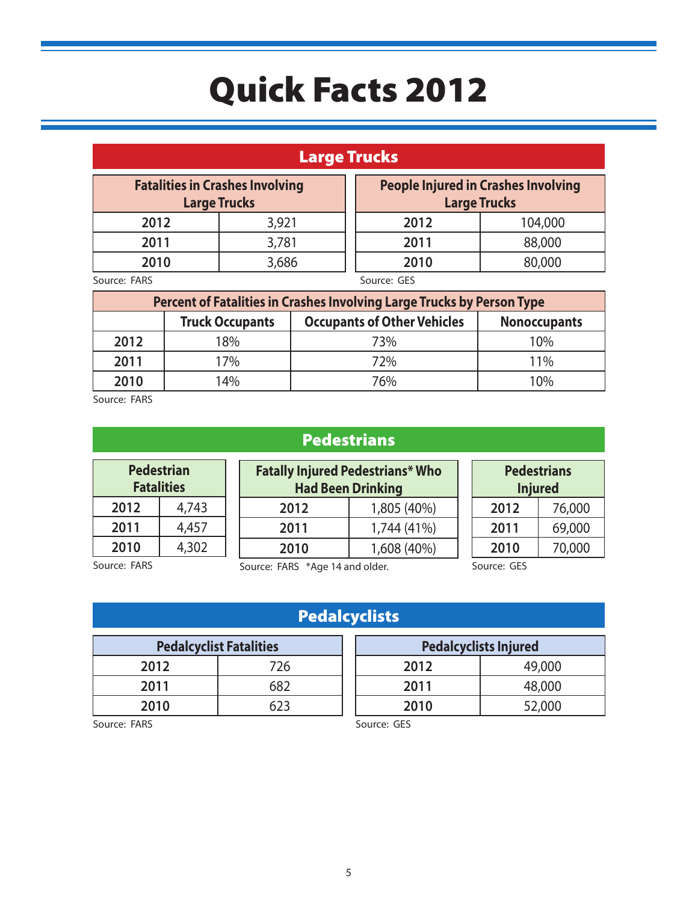### Large Trucks

| <b>Fatalities in Crashes Involving</b><br><b>Large Trucks</b> |       | <b>People Injured in Crashes Involving</b><br><b>Large Trucks</b> |         |
|---------------------------------------------------------------|-------|-------------------------------------------------------------------|---------|
| 2012                                                          | 3,921 | 2012                                                              | 104,000 |
| 2011                                                          | 3,781 | 2011                                                              | 88,000  |
| 2010                                                          | 3,686 | 2010                                                              | 80,000  |
| $C_1, \ldots, C_n$                                            |       | $C = 1$                                                           |         |

Source: FARS

Source: GES

| Percent of Fatalities in Crashes Involving Large Trucks by Person Type |                                                                                     |     |     |  |
|------------------------------------------------------------------------|-------------------------------------------------------------------------------------|-----|-----|--|
|                                                                        | <b>Occupants of Other Vehicles</b><br><b>Truck Occupants</b><br><b>Nonoccupants</b> |     |     |  |
| 2012                                                                   | 18%                                                                                 | 73% | 10% |  |
| 2011                                                                   | 17%                                                                                 | 72% | 11% |  |
| 2010                                                                   | 14%                                                                                 | 76% | 10% |  |

Source: FARS

## **Pedestrians**

| <b>Pedestrian</b><br><b>Fatalities</b> |       |  |
|----------------------------------------|-------|--|
| 2012                                   | 4,743 |  |
| 2011<br>4,457                          |       |  |
| 2010                                   | 4,302 |  |

**Fatally Injured Pedestrians\* Who Had Been Drinking 2012** 1,805 (40%) **2011** 1,744 (41%) **2010** 1,608 (40%)

| <b>Pedestrians</b><br><b>Injured</b> |        |  |  |
|--------------------------------------|--------|--|--|
| 76,000<br>2012                       |        |  |  |
| 69,000<br>2011                       |        |  |  |
| 2010                                 | 70,000 |  |  |

Source: FARS

Source: FARS \*Age 14 and older.

Source: GES

**Pedalcyclists Injured 2012** 49,000 **2011** 48,000 **2010** 52,000

## Pedalcyclists

| <b>Pedalcyclist Fatalities</b> |     |  |
|--------------------------------|-----|--|
| 2012                           | 726 |  |
| 2011                           | 682 |  |
| 2010                           | 623 |  |

#### Source: GES

Source: FARS